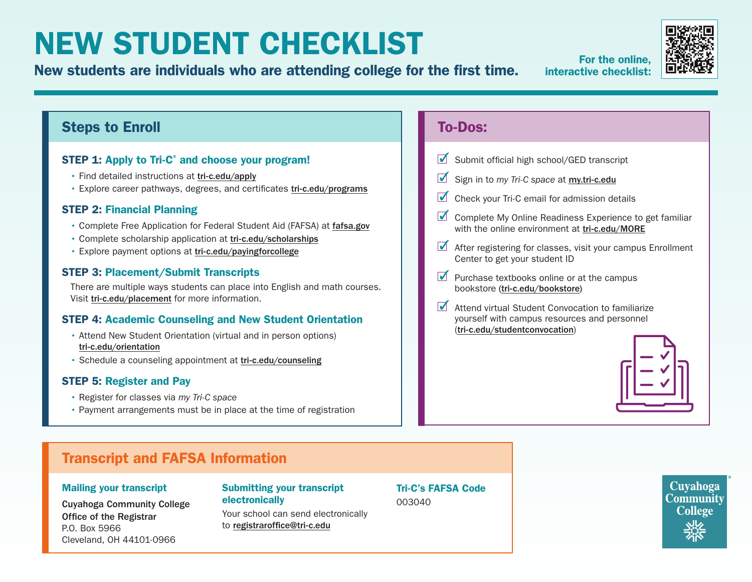# NEW STUDENT CHECKLIST

For the online,<br>New students are individuals who are attending college for the first time. For the online,

interactive checklist:



## Steps to Enroll

## STEP 1: Apply to Tri-C<sup>®</sup> and choose your program!

- Find detailed instructions at [tri-c.edu/apply](https://www.tri-c.edu/apply/)
- Explore career pathways, degrees, and certificates [tri-c.edu/programs](https://www.tri-c.edu/programs/)

## STEP 2: Financial Planning

- Complete Free Application for Federal Student Aid (FAFSA) at [fafsa.gov](https://studentaid.gov/h/apply-for-aid/fafsa)
- Complete scholarship application at [tri-c.edu/scholarships](https://www.tri-c.edu/paying-for-college/financial-aid-and-scholarships/scholarships/index.html)
- Explore payment options at [tri-c.edu/payingforcollege](http://tri-c.edu/payingforcollege)

#### STEP 3: Placement/Submit Transcripts

There are multiple ways students can place into English and math courses. Visit [tri-c.edu/placement](https://www.tri-c.edu/testing-center/index.html) for more information.

## STEP 4: Academic Counseling and New Student Orientation

- Attend New Student Orientation (virtual and in person options) [tri-c.edu/orientation](https://www.tri-c.edu/counseling-center/new-student-orientation.html)
- Schedule a counseling appointment at [tri-c.edu/counseling](http://tri-c.edu/counseling)

## STEP 5: Register and Pay

- Register for classes via *my Tri-C space*
- Payment arrangements must be in place at the time of registration

## To-Dos:

- $\blacksquare$  Submit official high school/GED transcript
- Sign in to *my Tri-C space* at **[my.tri-c.edu](http://my.tri-c.edu)**
- $\blacksquare$  Check your Tri-C email for admission details
- $\blacksquare$  Complete My Online Readiness Experience to get familiar with the online environment at [tri-c.edu/MORE](https://www.tri-c.edu/online-learning/more.html)
- $\blacksquare$  After registering for classes, visit your campus Enrollment Center to get your student ID
- $\blacksquare$  Purchase textbooks online or at the campus bookstore [\(tri-c.edu/bookstore](http://tri-c.edu/bookstore))
- $\overline{\mathcal{M}}$ Attend virtual Student Convocation to familiarize yourself with campus resources and personnel ([tri-c.edu/studentconvocation](https://launch.comevo.com/cuyahoga/3322/-/pub/Intake))



## Transcript and FAFSA Information

#### Mailing your transcript

Cuyahoga Community College Office of the Registrar P.O. Box 5966 Cleveland, OH 44101-0966

#### Submitting your transcript electronically

Your school can send electronically to [registraroffice@tri-c.edu](mailto:registraroffice%40tri-c.edu?subject=)

Tri-C's FAFSA Code 003040